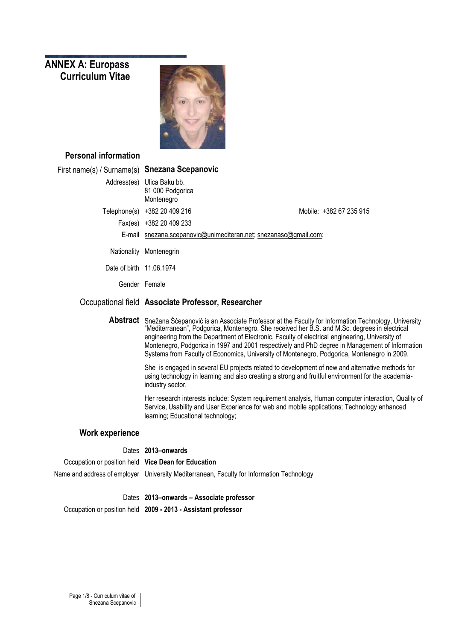# **ANNEX A: Europass Curriculum Vitae**



# **Personal information**

| First name(s) / Surname(s) Snezana Scepanovic |                                                                  |                                                                                                                                                                                                                                                                                                                                                                                                                                                                                                                          |
|-----------------------------------------------|------------------------------------------------------------------|--------------------------------------------------------------------------------------------------------------------------------------------------------------------------------------------------------------------------------------------------------------------------------------------------------------------------------------------------------------------------------------------------------------------------------------------------------------------------------------------------------------------------|
|                                               | Address(es) Ulica Baku bb.<br>81 000 Podgorica<br>Montenegro     |                                                                                                                                                                                                                                                                                                                                                                                                                                                                                                                          |
|                                               | Telephone(s) +382 20 409 216                                     | Mobile: +382 67 235 915                                                                                                                                                                                                                                                                                                                                                                                                                                                                                                  |
|                                               | Fax(es) +382 20 409 233                                          |                                                                                                                                                                                                                                                                                                                                                                                                                                                                                                                          |
|                                               | E-mail snezana.scepanovic@unimediteran.net; snezanasc@gmail.com; |                                                                                                                                                                                                                                                                                                                                                                                                                                                                                                                          |
|                                               | Nationality Montenegrin                                          |                                                                                                                                                                                                                                                                                                                                                                                                                                                                                                                          |
| Date of birth 11.06.1974                      |                                                                  |                                                                                                                                                                                                                                                                                                                                                                                                                                                                                                                          |
|                                               | Gender Female                                                    |                                                                                                                                                                                                                                                                                                                                                                                                                                                                                                                          |
|                                               | Occupational field Associate Professor, Researcher               |                                                                                                                                                                                                                                                                                                                                                                                                                                                                                                                          |
|                                               |                                                                  | <b>Abstract</b> Snežana Šćepanović is an Associate Professor at the Faculty for Information Technology, University<br>"Mediterranean", Podgorica, Montenegro. She received her B.S. and M.Sc. degrees in electrical<br>engineering from the Department of Electronic, Faculty of electrical engineering, University of<br>Montenegro, Podgorica in 1997 and 2001 respectively and PhD degree in Management of Information<br>Systems from Faculty of Economics, University of Montenegro, Podgorica, Montenegro in 2009. |
|                                               | industry sector.                                                 | She is engaged in several EU projects related to development of new and alternative methods for<br>using technology in learning and also creating a strong and fruitful environment for the academia-                                                                                                                                                                                                                                                                                                                    |
|                                               | learning; Educational technology;                                | Her research interests include: System requirement analysis, Human computer interaction, Quality of<br>Service, Usability and User Experience for web and mobile applications; Technology enhanced                                                                                                                                                                                                                                                                                                                       |
| <b>Work experience</b>                        |                                                                  |                                                                                                                                                                                                                                                                                                                                                                                                                                                                                                                          |
|                                               | Dates 2013-onwards                                               |                                                                                                                                                                                                                                                                                                                                                                                                                                                                                                                          |
|                                               | $\blacksquare$                                                   |                                                                                                                                                                                                                                                                                                                                                                                                                                                                                                                          |

Occupation or position held **Vice Dean for Education** Name and address of employer University Mediterranean, Faculty for Information Technology

Dates **2013–onwards – Associate professor**

Occupation or position held **2009 - 2013 - Assistant professor**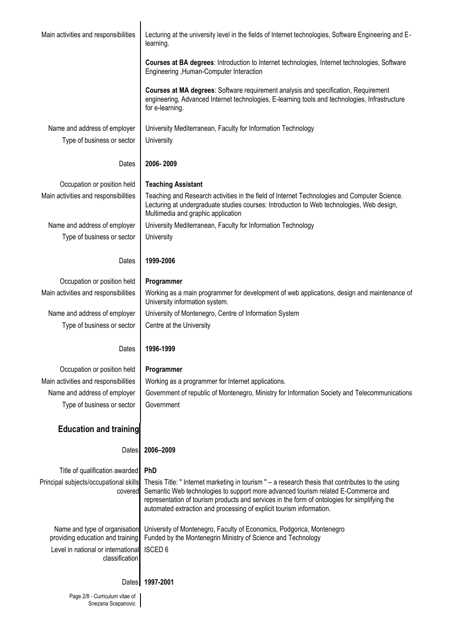| Main activities and responsibilities                              | Lecturing at the university level in the fields of Internet technologies, Software Engineering and E-<br>learning.                                                                                                                                                                                                                                              |  |  |
|-------------------------------------------------------------------|-----------------------------------------------------------------------------------------------------------------------------------------------------------------------------------------------------------------------------------------------------------------------------------------------------------------------------------------------------------------|--|--|
|                                                                   | <b>Courses at BA degrees: Introduction to Internet technologies, Internet technologies, Software</b><br>Engineering, Human-Computer Interaction                                                                                                                                                                                                                 |  |  |
|                                                                   | Courses at MA degrees: Software requirement analysis and specification, Requirement<br>engineering, Advanced Internet technologies, E-learning tools and technologies, Infrastructure<br>for e-learning.                                                                                                                                                        |  |  |
| Name and address of employer                                      | University Mediterranean, Faculty for Information Technology                                                                                                                                                                                                                                                                                                    |  |  |
| Type of business or sector                                        | University                                                                                                                                                                                                                                                                                                                                                      |  |  |
|                                                                   |                                                                                                                                                                                                                                                                                                                                                                 |  |  |
| Dates                                                             | 2006-2009                                                                                                                                                                                                                                                                                                                                                       |  |  |
| Occupation or position held                                       | <b>Teaching Assistant</b>                                                                                                                                                                                                                                                                                                                                       |  |  |
| Main activities and responsibilities                              | Teaching and Research activities in the field of Internet Technologies and Computer Science.<br>Lecturing at undergraduate studies courses: Introduction to Web technologies, Web design,<br>Multimedia and graphic application                                                                                                                                 |  |  |
| Name and address of employer                                      | University Mediterranean, Faculty for Information Technology                                                                                                                                                                                                                                                                                                    |  |  |
| Type of business or sector                                        | University                                                                                                                                                                                                                                                                                                                                                      |  |  |
|                                                                   |                                                                                                                                                                                                                                                                                                                                                                 |  |  |
| Dates                                                             | 1999-2006                                                                                                                                                                                                                                                                                                                                                       |  |  |
| Occupation or position held                                       | Programmer                                                                                                                                                                                                                                                                                                                                                      |  |  |
| Main activities and responsibilities                              | Working as a main programmer for development of web applications, design and maintenance of<br>University information system.                                                                                                                                                                                                                                   |  |  |
| Name and address of employer                                      | University of Montenegro, Centre of Information System                                                                                                                                                                                                                                                                                                          |  |  |
| Type of business or sector                                        | Centre at the University                                                                                                                                                                                                                                                                                                                                        |  |  |
|                                                                   |                                                                                                                                                                                                                                                                                                                                                                 |  |  |
| Dates                                                             | 1996-1999                                                                                                                                                                                                                                                                                                                                                       |  |  |
| Occupation or position held                                       | Programmer                                                                                                                                                                                                                                                                                                                                                      |  |  |
| Main activities and responsibilities                              | Working as a programmer for Internet applications.                                                                                                                                                                                                                                                                                                              |  |  |
| Name and address of employer                                      | Government of republic of Montenegro, Ministry for Information Society and Telecommunications                                                                                                                                                                                                                                                                   |  |  |
| Type of business or sector                                        | Government                                                                                                                                                                                                                                                                                                                                                      |  |  |
|                                                                   |                                                                                                                                                                                                                                                                                                                                                                 |  |  |
| <b>Education and training</b>                                     |                                                                                                                                                                                                                                                                                                                                                                 |  |  |
| Dates                                                             | 2006-2009                                                                                                                                                                                                                                                                                                                                                       |  |  |
| Title of qualification awarded                                    | <b>PhD</b>                                                                                                                                                                                                                                                                                                                                                      |  |  |
| Principal subjects/occupational skills<br>covered                 | Thesis Title: " Internet marketing in tourism " - a research thesis that contributes to the using<br>Semantic Web technologies to support more advanced tourism related E-Commerce and<br>representation of tourism products and services in the form of ontologies for simplifying the<br>automated extraction and processing of explicit tourism information. |  |  |
| Name and type of organisation<br>providing education and training | University of Montenegro, Faculty of Economics, Podgorica, Montenegro<br>Funded by the Montenegrin Ministry of Science and Technology                                                                                                                                                                                                                           |  |  |
| Level in national or international<br>classification              | <b>ISCED 6</b>                                                                                                                                                                                                                                                                                                                                                  |  |  |
|                                                                   | Dates 1997-2001                                                                                                                                                                                                                                                                                                                                                 |  |  |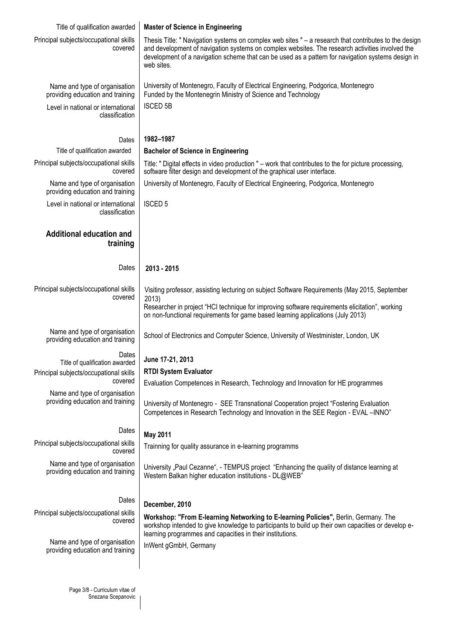| Title of qualification awarded                                    | <b>Master of Science in Engineering</b>                                                                                                                                                                                                                                                                                     |
|-------------------------------------------------------------------|-----------------------------------------------------------------------------------------------------------------------------------------------------------------------------------------------------------------------------------------------------------------------------------------------------------------------------|
|                                                                   |                                                                                                                                                                                                                                                                                                                             |
| Principal subjects/occupational skills<br>covered                 | Thesis Title: " Navigation systems on complex web sites " - a research that contributes to the design<br>and development of navigation systems on complex websites. The research activities involved the<br>development of a navigation scheme that can be used as a pattern for navigation systems design in<br>web sites. |
| Name and type of organisation<br>providing education and training | University of Montenegro, Faculty of Electrical Engineering, Podgorica, Montenegro<br>Funded by the Montenegrin Ministry of Science and Technology                                                                                                                                                                          |
| Level in national or international<br>classification              | <b>ISCED 5B</b>                                                                                                                                                                                                                                                                                                             |
|                                                                   | 1982-1987                                                                                                                                                                                                                                                                                                                   |
| Dates<br>Title of qualification awarded                           |                                                                                                                                                                                                                                                                                                                             |
|                                                                   | <b>Bachelor of Science in Engineering</b>                                                                                                                                                                                                                                                                                   |
| Principal subjects/occupational skills<br>covered                 | Title: " Digital effects in video production " – work that contributes to the for picture processing,<br>software filter design and development of the graphical user interface.                                                                                                                                            |
| Name and type of organisation<br>providing education and training | University of Montenegro, Faculty of Electrical Engineering, Podgorica, Montenegro                                                                                                                                                                                                                                          |
| Level in national or international<br>classification              | <b>ISCED 5</b>                                                                                                                                                                                                                                                                                                              |
| <b>Additional education and</b><br>training                       |                                                                                                                                                                                                                                                                                                                             |
| Dates                                                             | 2013 - 2015                                                                                                                                                                                                                                                                                                                 |
| Principal subjects/occupational skills<br>covered                 | Visiting professor, assisting lecturing on subject Software Requirements (May 2015, September<br>2013)<br>Researcher in project "HCI technique for improving software requirements elicitation", working<br>on non-functional requirements for game based learning applications (July 2013)                                 |
| Name and type of organisation<br>providing education and training | School of Electronics and Computer Science, University of Westminister, London, UK                                                                                                                                                                                                                                          |
| Dates<br>Title of qualification awarded                           | June 17-21, 2013                                                                                                                                                                                                                                                                                                            |
| Principal subjects/occupational skills                            | <b>RTDI System Evaluator</b>                                                                                                                                                                                                                                                                                                |
| covered                                                           | Evaluation Competences in Research, Technology and Innovation for HE programmes                                                                                                                                                                                                                                             |
| Name and type of organisation<br>providing education and training | University of Montenegro - SEE Transnational Cooperation project "Fostering Evaluation<br>Competences in Research Technology and Innovation in the SEE Region - EVAL -INNO"                                                                                                                                                 |
| Dates                                                             | <b>May 2011</b>                                                                                                                                                                                                                                                                                                             |
| Principal subjects/occupational skills<br>covered                 | Trainning for quality assurance in e-learning programms                                                                                                                                                                                                                                                                     |
| Name and type of organisation<br>providing education and training | University "Paul Cezanne", - TEMPUS project "Enhancing the quality of distance learning at<br>Western Balkan higher education institutions - DL@WEB"                                                                                                                                                                        |
| Dates                                                             | December, 2010                                                                                                                                                                                                                                                                                                              |
| Principal subjects/occupational skills<br>covered                 | Workshop: "From E-learning Networking to E-learning Policies", Berlin, Germany. The<br>workshop intended to give knowledge to participants to build up their own capacities or develop e-<br>learning programmes and capacities in their institutions.                                                                      |
| Name and type of organisation<br>providing education and training | InWent gGmbH, Germany                                                                                                                                                                                                                                                                                                       |
|                                                                   |                                                                                                                                                                                                                                                                                                                             |

Page 3/8 - Curriculum vitae of Snezana Scepanovic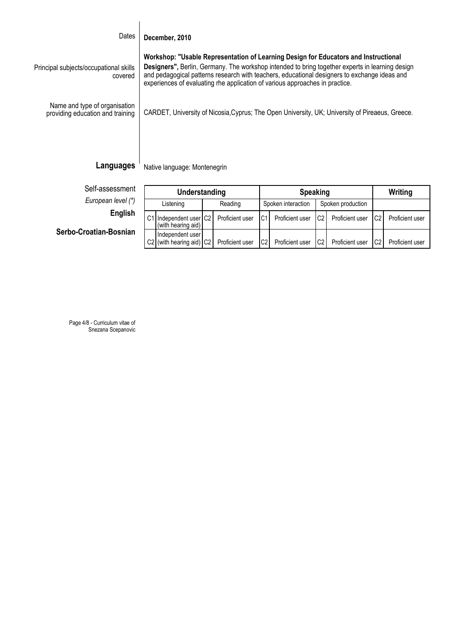#### Dates **December, 2010**

Principal subjects/occupational skills covered **Workshop: "Usable Representation of Learning Design for Educators and Instructional Designers",** Berlin, Germany. The workshop intended to bring together experts in learning design and pedagogical patterns research with teachers, educational designers to exchange ideas and experiences of evaluating rhe application of various approaches in practice.

Name and type of organisation providing education and training

CARDET, University of Nicosia,Cyprus; The Open University, UK; University of Pireaeus, Greece.

# **Languages**

Native language: Montenegrin

| Self-assessment |  |  |
|-----------------|--|--|
|                 |  |  |

*European level (\*)* **English**

**Serbo-Croatian-Bosnian**

| Understanding |                                              |         |                 | <b>Speaking</b>    |                 |                   | Writing         |    |                 |
|---------------|----------------------------------------------|---------|-----------------|--------------------|-----------------|-------------------|-----------------|----|-----------------|
| Listening     |                                              | Reading |                 | Spoken interaction |                 | Spoken production |                 |    |                 |
|               | C1 Independent user C2<br>(with hearing aid) |         | Proficient user | C <sub>1</sub>     | Proficient user | C2                | Proficient user | C2 | Proficient user |
|               | Independent user<br>C2 (with hearing aid) C2 |         | Proficient user | C <sub>2</sub>     | Proficient user | C2                | Proficient user | C2 | Proficient user |

Page 4/8 - Curriculum vitae of Snezana Scepanovic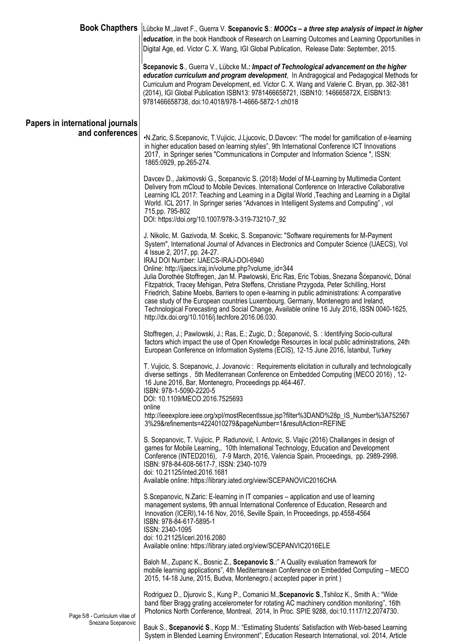|                                  | Book Chapthers   Lübcke M., Javet F., Guerra V. Scepanovic S.: MOOCs - a three step analysis of impact in higher<br>education, in the book Handbook of Research on Learning Outcomes and Learning Opportunities in<br>Digital Age, ed. Victor C. X. Wang, IGI Global Publication, Release Date: September, 2015.                                                                                                                                                                                                                                                                                                                                                                                                                                                                                            |
|----------------------------------|-------------------------------------------------------------------------------------------------------------------------------------------------------------------------------------------------------------------------------------------------------------------------------------------------------------------------------------------------------------------------------------------------------------------------------------------------------------------------------------------------------------------------------------------------------------------------------------------------------------------------------------------------------------------------------------------------------------------------------------------------------------------------------------------------------------|
|                                  | Scepanovic S., Guerra V., Lübcke M.: Impact of Technological advancement on the higher<br>education curriculum and program development, In Andragogical and Pedagogical Methods for<br>Curriculum and Program Development, ed. Victor C. X. Wang and Valerie C. Bryan, pp. 362-381<br>(2014), IGI Global Publication ISBN13: 9781466658721, ISBN10: 146665872X, EISBN13:<br>9781466658738, doi:10.4018/978-1-4666-5872-1.ch018                                                                                                                                                                                                                                                                                                                                                                              |
| Papers in international journals |                                                                                                                                                                                                                                                                                                                                                                                                                                                                                                                                                                                                                                                                                                                                                                                                             |
| and conferences                  | •N.Zaric, S.Scepanovic, T.Vujicic, J.Ljucovic, D.Davcev: "The model for gamification of e-learning<br>in higher education based on learning styles", 9th International Conference ICT Innovations<br>2017, in Springer series "Communications in Computer and Information Science", ISSN:<br>1865:0929, pp.265-274.                                                                                                                                                                                                                                                                                                                                                                                                                                                                                         |
|                                  | Davcev D., Jakimovski G., Scepanovic S. (2018) Model of M-Learning by Multimedia Content<br>Delivery from mCloud to Mobile Devices. International Conference on Interactive Collaborative<br>Learning ICL 2017: Teaching and Learning in a Digital World, Teaching and Learning in a Digital<br>World. ICL 2017. In Springer series "Advances in Intelligent Systems and Computing", vol<br>715.pp. 795-802                                                                                                                                                                                                                                                                                                                                                                                                 |
|                                  | DOI: https://doi.org/10.1007/978-3-319-73210-7_92                                                                                                                                                                                                                                                                                                                                                                                                                                                                                                                                                                                                                                                                                                                                                           |
|                                  | J. Nikolic, M. Gazivoda, M. Scekic, S. Scepanovic: "Software requirements for M-Payment<br>System", International Journal of Advances in Electronics and Computer Science (IJAECS), Vol<br>4 Issue 2, 2017, pp. 24-27.<br>IRAJ DOI Number: IJAECS-IRAJ-DOI-6940<br>Online: http://ijaecs.iraj.in/volume.php?volume_id=344<br>Julia Dorothée Stoffregen, Jan M. Pawlowski, Eric Ras, Eric Tobias, Snezana Šćepanović, Dónal<br>Fitzpatrick, Tracey Mehigan, Petra Steffens, Christiane Przygoda, Peter Schilling, Horst<br>Friedrich, Sabine Moebs, Barriers to open e-learning in public administrations: A comparative<br>case study of the European countries Luxembourg, Germany, Montenegro and Ireland,<br>Technological Forecasting and Social Change, Available online 16 July 2016, ISSN 0040-1625, |
|                                  | http://dx.doi.org/10.1016/j.techfore.2016.06.030.                                                                                                                                                                                                                                                                                                                                                                                                                                                                                                                                                                                                                                                                                                                                                           |
|                                  | Stoffregen, J.; Pawlowski, J.; Ras, E.; Zugic, D.; Šćepanović, S. : Identifying Socio-cultural<br>factors which impact the use of Open Knowledge Resources in local public administrations, 24th<br>European Conference on Information Systems (ECIS), 12-15 June 2016, Istanbul, Turkey                                                                                                                                                                                                                                                                                                                                                                                                                                                                                                                    |
|                                  | T. Vujicic, S. Scepanovic, J. Jovanovic: Requirements elicitation in culturally and technologically<br>diverse settings, 5th Mediterranean Conference on Embedded Computing (MECO 2016), 12-<br>16 June 2016, Bar, Montenegro, Proceedings pp.464-467.<br>ISBN: 978-1-5090-2220-5<br>DOI: 10.1109/MECO.2016.7525693<br>online                                                                                                                                                                                                                                                                                                                                                                                                                                                                               |
|                                  | http://ieeexplore.ieee.org/xpl/mostRecentIssue.jsp?filter%3DAND%28p_IS_Number%3A752567<br>3%29&refinements=4224010279&pageNumber=1&resultAction=REFINE                                                                                                                                                                                                                                                                                                                                                                                                                                                                                                                                                                                                                                                      |
|                                  | S. Scepanovic, T. Vujicic, P. Radunović, I. Antovic, S. Vlajic (2016) Challanges in design of<br>games for Mobile Learning,, 10th International Technology, Education and Development<br>Conference (INTED2016), 7-9 March, 2016, Valencia Spain, Proceedings, pp. 2989-2998.<br>ISBN: 978-84-608-5617-7, ISSN: 2340-1079<br>doi: 10.21125/inted.2016.1681<br>Available online: https://library.iated.org/view/SCEPANOVIC2016CHA                                                                                                                                                                                                                                                                                                                                                                            |
|                                  | S.Scepanovic, N.Zaric: E-learning in IT companies - application and use of learning<br>management systems, 9th annual International Conference of Education, Research and<br>Innovation (ICERI), 14-16 Nov, 2016, Seville Spain, In Proceedings, pp.4558-4564<br>ISBN: 978-84-617-5895-1<br>ISSN: 2340-1095<br>doi: 10.21125/iceri.2016.2080<br>Available online: https://library.iated.org/view/SCEPANVIC2016ELE                                                                                                                                                                                                                                                                                                                                                                                           |
|                                  | Baloh M., Zupanc K., Bosnic Z., Scepanovic S.:" A Quality evaluation framework for<br>mobile learning applications", 4th Mediterranean Conference on Embedded Computing - MECO<br>2015, 14-18 June, 2015, Budva, Montenegro. (accepted paper in print)                                                                                                                                                                                                                                                                                                                                                                                                                                                                                                                                                      |
| Page 5/8 - Curriculum vitae of   | Rodriguez D., Djurovic S., Kung P., Comanici M., Scepanovic S., Tshiloz K., Smith A.: "Wide<br>band fiber Bragg grating accelerometer for rotating AC machinery condition monitoring", 16th<br>Photonics North Conference, Montreal, 2014, In Proc. SPIE 9288, doi:10.1117/12.2074730.                                                                                                                                                                                                                                                                                                                                                                                                                                                                                                                      |
| Snezana Scepanovic               |                                                                                                                                                                                                                                                                                                                                                                                                                                                                                                                                                                                                                                                                                                                                                                                                             |

Bauk S., **Scepanović S**., Kopp M.: "Estimating Students' Satisfaction with Web-based Learning System in Blended Learning Environment", Education Research International, vol. 2014, Article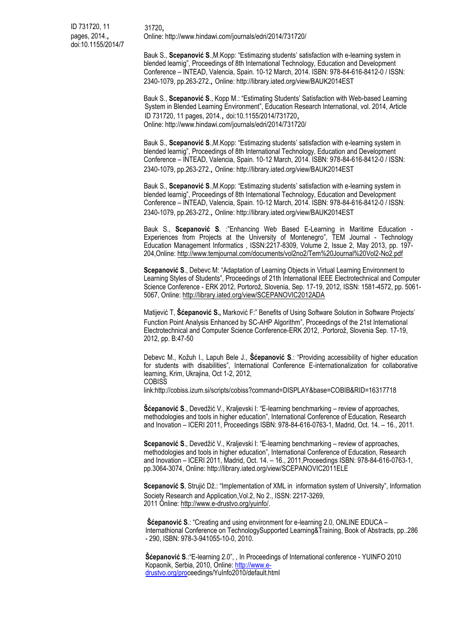Bauk S., **Scepanović S**.,M.Kopp: "Estimazing students' satisfaction with e-learning system in blended learnig", Proceedings of 8th International Technology, Education and Development Conference – INTEAD, Valencia, Spain. 10-12 March, 2014. ISBN: 978-84-616-8412-0 / ISSN: 2340-1079, pp.263-272., Online: http://library.iated.org/view/BAUK2014EST

Bauk S., **Scepanović S**., Kopp M.: "Estimating Students' Satisfaction with Web-based Learning System in Blended Learning Environment", Education Research International, vol. 2014, Article ID 731720, 11 pages, 2014., doi:10.1155/2014/731720, Online: http://www.hindawi.com/journals/edri/2014/731720/

Bauk S., **Scepanović S**.,M.Kopp: "Estimazing students' satisfaction with e-learning system in blended learnig", Proceedings of 8th International Technology, Education and Development Conference – INTEAD, Valencia, Spain. 10-12 March, 2014. ISBN: 978-84-616-8412-0 / ISSN: 2340-1079, pp.263-272., Online: http://library.iated.org/view/BAUK2014EST

Bauk S., **Scepanović S**.,M.Kopp: "Estimazing students' satisfaction with e-learning system in blended learnig", Proceedings of 8th International Technology, Education and Development Conference – INTEAD, Valencia, Spain. 10-12 March, 2014. ISBN: 978-84-616-8412-0 / ISSN: 2340-1079, pp.263-272., Online: http://library.iated.org/view/BAUK2014EST

Bauk S., **Scepanović S**. :"Enhancing Web Based E-Learning in Maritime Education - Experiences from Projects at the University of Montenegro", TEM Journal - Technology Education Management Informatics , ISSN:2217-8309, Volume 2, Issue 2, May 2013, pp. 197- 204,Online: http://www.temjournal.com/documents/vol2no2/Tem%20Journal%20Vol2-No2.pdf

**Scepanović S**., Debevc M: "Adaptation of Learning Objects in Virtual Learning Environment to Learning Styles of Students", Proceedings of 21th International IEEE Electrotechnical and Computer Science Conference - ERK 2012, Portorož, Slovenia, Sep. 17-19, 2012, ISSN: 1581-4572, pp. 5061- 5067, Online: http://library.iated.org/view/SCEPANOVIC2012ADA

Matijević T, **Šćepanović S.,** Marković F:" Benefits of Using Software Solution in Software Projects' Function Point Analysis Enhanced by SC-AHP Algorithm", Proceedings of the 21st International Electrotechnical and Computer Science Conference-ERK 2012, .Portorož, Slovenia Sep. 17-19, 2012, pp. B:47-50

Debevc M., Kožuh I., Lapuh Bele J., **Šćepanović S**.: "Providing accessibility of higher education for students with disabilities", International Conference E-internationalization for collaborative learning, Krim, Ukrajina, Oct 1-2, 2012, **COBISS** 

link:http://cobiss.izum.si/scripts/cobiss?command=DISPLAY&base=COBIB&RID=16317718

**Šćepanović S**., Devedžić V., Kraljevski I: "E-learning benchmarking – review of approaches, methodologies and tools in higher education", International Conference of Education, Research and Inovation – ICERI 2011, Proceedings ISBN: 978-84-616-0763-1, Madrid, Oct. 14. – 16., 2011.

**Scepanović S**., Devedžić V., Kraljevski I: "E-learning benchmarking – review of approaches, methodologies and tools in higher education", International Conference of Education, Research and Inovation – ICERI 2011, Madrid, Oct. 14. – 16., 2011,Proceedings ISBN: 978-84-616-0763-1, pp.3064-3074, Online: http://library.iated.org/view/SCEPANOVIC2011ELE

**Scepanović S**, Strujić Dž.: "Implementation of XML in information system of University", Information Society Research and Application,Vol.2, No 2., ISSN: 2217-3269, 2011 Online: http://www.e-drustvo.org/yuinfo/.

**Šćepanović S**.: "Creating and using environment for e-learning 2.0, ONLINE EDUCA – Internathional Conference on TechnologySupported Learning&Training, Book of Abstracts, pp..286 - 290, ISBN: 978-3-941055-10-0, 2010.

**Šćepanović S**.:"E-learning 2.0", , In Proceedings of International conference - YUINFO 2010 Kopaonik, Serbia, 2010, Online: [http://www.e](http://www.e-drustvo.org/pro)[drustvo.org/proc](http://www.e-drustvo.org/pro)eedings/YuInfo2010/default.html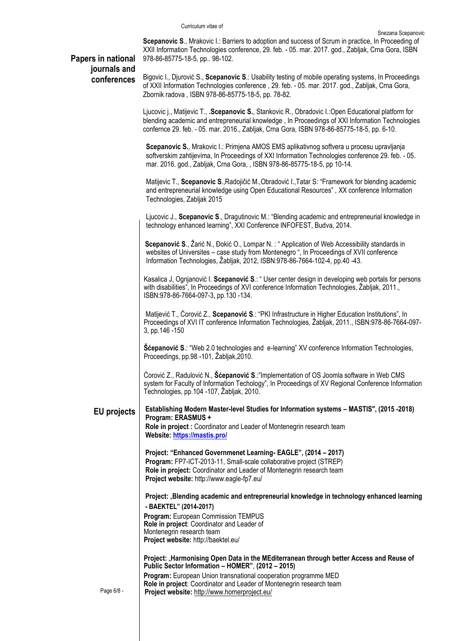**Scepanovic S**., Mrakovic I.: Barriers to adoption and success of Scrum in practice, In Proceeding of XXII Information Technologies conference, 29. feb. - 05. mar. 2017. god., Zabljak, Crna Gora, ISBN 978-86-85775-18-5, pp.. 98-102.

# **Papers in national journals and conferences**

Bigovic I., Djurović S., **Scepanovic S**.: Usability testing of mobile operating systems, In Proceedings of XXII Information Technologies conference , 29. feb. - 05. mar. 2017. god., Zabljak, Crna Gora, Zbornik radova , ISBN 978-86-85775-18-5, pp. 78-82.

Ljucovic j., Matijevic T., **.Scepanovic S.**, Stankovic R., Obradovic I.:Open Educational platform for blending academic and entrepreneurial knowledge , In Proceedings of XXI Information Technologies confernce 29. feb. - 05. mar. 2016., Zabljak, Crna Gora, ISBN 978-86-85775-18-5, pp. 6-10.

**Scepanovic S.**, Mrakovic I.: Primjena AMOS EMS aplikativnog softvera u procesu upravljanja softverskim zahtijevima, In Proceedings of XXI Information Technologies conference 29. feb. - 05. mar. 2016. god., Zabljak, Crna Gora, , ISBN 978-86-85775-18-5, pp 10-14.

Matijevic T., **Scepanovic S**.,Radojičić M.,Obradović I.,Tatar S: "Framework for blending academic and entrepreneurial knowledge using Open Educational Resources" , XX conference Information Technologies, Zabljak 2015

Ljucovic J., **Scepanovic S**., Dragutinovic M.: "Blending academic and entrepreneurial knowledge in technology enhanced learning", XXI Conference INFOFEST, Budva, 2014.

**Scepanović S**., Žarić N., Đokić O., Lompar N. : " Application of Web Accessibility standards in websites of Universites – case study from Montenegro ", In Proceedings of XVII conference Information Technologies, Žabljak, 2012, ISBN:978-86-7664-102-4, pp.40 -43.

Kasalica J, Ognjanović I. **Scepanović S**.: " User center design in developing web portals for persons with disabilities", In Proceedings of XVI conference Information Technologies, Žabljak, 2011., ISBN:978-86-7664-097-3, pp.130 -134.

Matijević T., Ćorović Z., **Scepanović S**.: "PKI Infrastructure in Higher Education Institutions", In Proceedings of XVI IT conference Information Technologies, Žabljak, 2011., ISBN:978-86-7664-097- 3, pp.146 -150

**Šćepanović S**.: "Web 2.0 technologies and e-learning" XV conference Information Technologies, Proceedings, pp.98 -101, Žabljak,2010.

Ćorović Z., Radulović N., **Šćepanović S**.:"Implementation of OS Joomla software in Web CMS system for Faculty of Information Techology", In Proceedings of XV Regional Conference Information Technologies, pp.104 -107, Žabljak, 2010.

**EU projects Establishing Modern Master-level Studies for Information systems – MASTIS", (2015 -2018) Program: ERASMUS + Role in project :** Coordinator and Leader of Montenegrin research team **Website[: https://mastis.pro/](https://mastis.pro/)**

> **Project: "Enhanced Governmenet Learning- EAGLE", (2014 – 2017) Program:** FP7-ICT-2013-11, Small-scale collaborative project (STREP) **Role in project:** Coordinator and Leader of Montenegrin research team **Project website:** http://www.eagle-fp7.eu/

**Project:** "**Blending academic and entrepreneurial knowledge in technology enhanced learning - BAEKTEL" (2014-2017) Program:** European Commission TEMPUS **Role in project**: Coordinator and Leader of Montenegrin research team

**Project website:** http://baektel.eu/

Project: "Harmonising Open Data in the MEditerranean through better Access and Reuse of **Public Sector Information – HOMER"**, **(2012 – 2015)**

**Program:** European Union transnational cooperation programme MED **Role in project**: Coordinator and Leader of Montenegrin research team **Project website:** http://www.homerproject.eu/

Page 6/8 -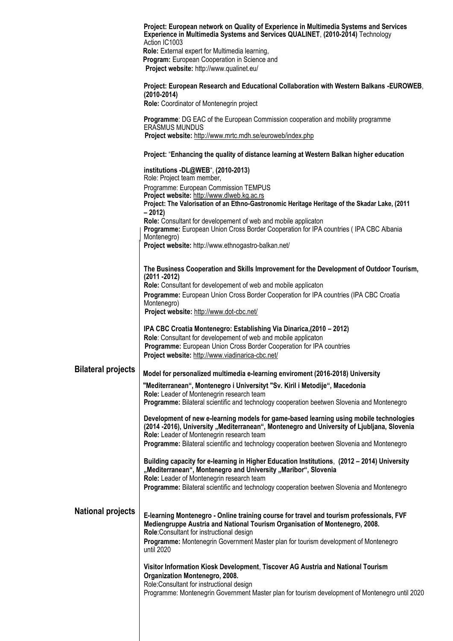|                           | Project: European network on Quality of Experience in Multimedia Systems and Services<br>Experience in Multimedia Systems and Services QUALINET, (2010-2014) Technology<br>Action IC1003                                                                                                                                       |
|---------------------------|--------------------------------------------------------------------------------------------------------------------------------------------------------------------------------------------------------------------------------------------------------------------------------------------------------------------------------|
|                           | Role: External expert for Multimedia learning,<br>Program: European Cooperation in Science and<br>Project website: http://www.qualinet.eu/                                                                                                                                                                                     |
|                           | Project: European Research and Educational Collaboration with Western Balkans -EUROWEB,<br>$(2010 - 2014)$<br>Role: Coordinator of Montenegrin project                                                                                                                                                                         |
|                           | Programme: DG EAC of the European Commission cooperation and mobility programme<br><b>ERASMUS MUNDUS</b><br>Project website: http://www.mrtc.mdh.se/euroweb/index.php                                                                                                                                                          |
|                           | Project: "Enhancing the quality of distance learning at Western Balkan higher education                                                                                                                                                                                                                                        |
|                           | institutions -DL@WEB", (2010-2013)                                                                                                                                                                                                                                                                                             |
|                           | Role: Project team member,<br>Programme: European Commission TEMPUS                                                                                                                                                                                                                                                            |
|                           | Project website: http://www.dlweb.kg.ac.rs<br>Project: The Valorisation of an Ethno-Gastronomic Heritage Heritage of the Skadar Lake, (2011<br>$-2012$                                                                                                                                                                         |
|                           | Role: Consultant for developement of web and mobile applicaton<br>Programme: European Union Cross Border Cooperation for IPA countries (IPA CBC Albania<br>Montenegro)<br>Project website: http://www.ethnogastro-balkan.net/                                                                                                  |
|                           |                                                                                                                                                                                                                                                                                                                                |
|                           | The Business Cooperation and Skills Improvement for the Development of Outdoor Tourism,<br>$(2011 - 2012)$                                                                                                                                                                                                                     |
|                           | Role: Consultant for developement of web and mobile applicaton<br>Programme: European Union Cross Border Cooperation for IPA countries (IPA CBC Croatia<br>Montenegro)<br>Project website: http://www.dot-cbc.net/                                                                                                             |
|                           | IPA CBC Croatia Montenegro: Establishing Via Dinarica, (2010 - 2012)<br>Role: Consultant for developement of web and mobile applicaton<br>Programme: European Union Cross Border Cooperation for IPA countries<br>Project website: http://www.viadinarica-cbc.net/                                                             |
| <b>Bilateral projects</b> | Model for personalized multimedia e-learning enviroment (2016-2018) University                                                                                                                                                                                                                                                 |
|                           | "Mediterranean", Montenegro i Universityt "Sv. Kiril i Metodije", Macedonia<br>Role: Leader of Montenegrin research team                                                                                                                                                                                                       |
|                           | Programme: Bilateral scientific and technology cooperation beetwen Slovenia and Montenegro                                                                                                                                                                                                                                     |
|                           | Development of new e-learning models for game-based learning using mobile technologies<br>(2014-2016), University "Mediterranean", Montenegro and University of Ljubljana, Slovenia<br>Role: Leader of Montenegrin research team<br>Programme: Bilateral scientific and technology cooperation beetwen Slovenia and Montenegro |
|                           | Building capacity for e-learning in Higher Education Institutions, (2012 - 2014) University<br>"Mediterranean", Montenegro and University "Maribor", Slovenia<br>Role: Leader of Montenegrin research team                                                                                                                     |
|                           | Programme: Bilateral scientific and technology cooperation beetwen Slovenia and Montenegro                                                                                                                                                                                                                                     |
| <b>National projects</b>  | E-learning Montenegro - Online training course for travel and tourism professionals, FVF<br>Mediengruppe Austria and National Tourism Organisation of Montenegro, 2008.<br>Role:Consultant for instructional design                                                                                                            |
|                           | Programme: Montenegrin Government Master plan for tourism development of Montenegro<br>until 2020                                                                                                                                                                                                                              |
|                           | Visitor Information Kiosk Development, Tiscover AG Austria and National Tourism<br>Organization Montenegro, 2008.<br>Role:Consultant for instructional design<br>Programme: Montenegrin Government Master plan for tourism development of Montenegro until 2020                                                                |
|                           |                                                                                                                                                                                                                                                                                                                                |